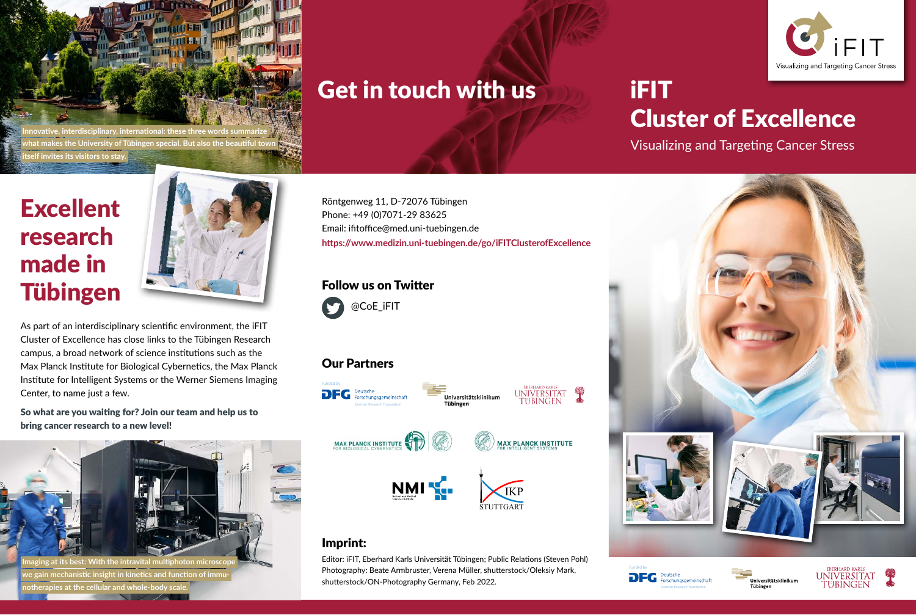

FIT Visualizing and Targeting Cancer Stress

## Get in touch with us

iFIT Cluster of Excellence

Visualizing and Targeting Cancer Stress



Tübingen

German Research Foundation

## Excellent research made in Tübingen

 **itself invites its visitors to stay.** 



As part of an interdisciplinary scientific environment, the iFIT Cluster of Excellence has close links to the Tübingen Research campus, a broad network of science institutions such as the Max Planck Institute for Biological Cybernetics, the Max Planck Institute for Intelligent Systems or the Werner Siemens Imaging Center, to name just a few.

So what are you waiting for? Join our team and help us to bring cancer research to a new level!



Röntgenweg 11, D-72076 Tübingen Phone: +49 (0)7071-29 83625 Email: ifitoffice@med.uni-tuebingen.de **https://www.medizin.uni-tuebingen.de/go/iFITClusterofExcellence**

#### Follow us on Twitter



### Our Partners



### Imprint:

Editor: iFIT, Eberhard Karls Universität Tübingen; Public Relations (Steven Pohl) Photography: Beate Armbruster, Verena Müller, shutterstock/Oleksiy Mark, shutterstock/ON-Photography Germany, Feb 2022.